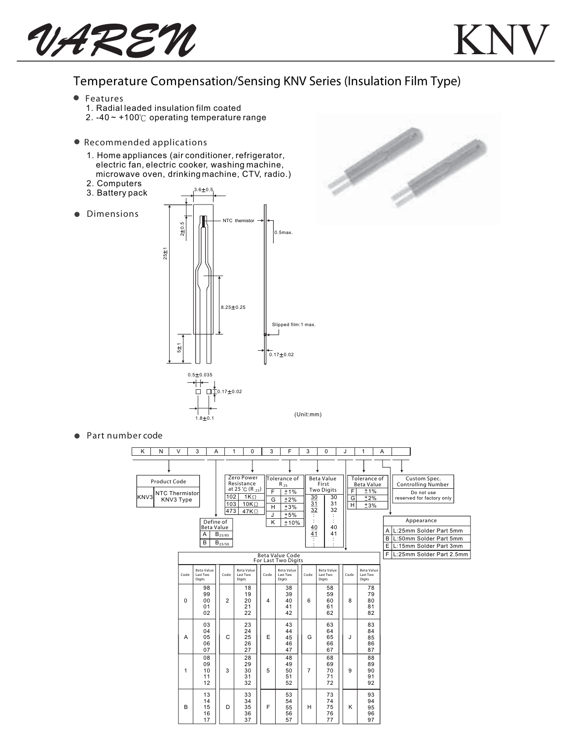$V$ *AREN* 

## Temperature Compensation/Sensing KNV Series (Insulation Film Type)

- Features
	- 1. Radial leaded insulation film coated
	- 2.  $-40 \sim +100^{\circ}$  operating temperature range
- Recommended applications
	- 1. Home appliances (air conditioner, refrigerator, electric fan, electric cooker, washing machine, microwave oven, drinking machine, CTV, radio.)
	- 2. Computers
	- 3. Battery pack
- **•** Dimensions





Part number code

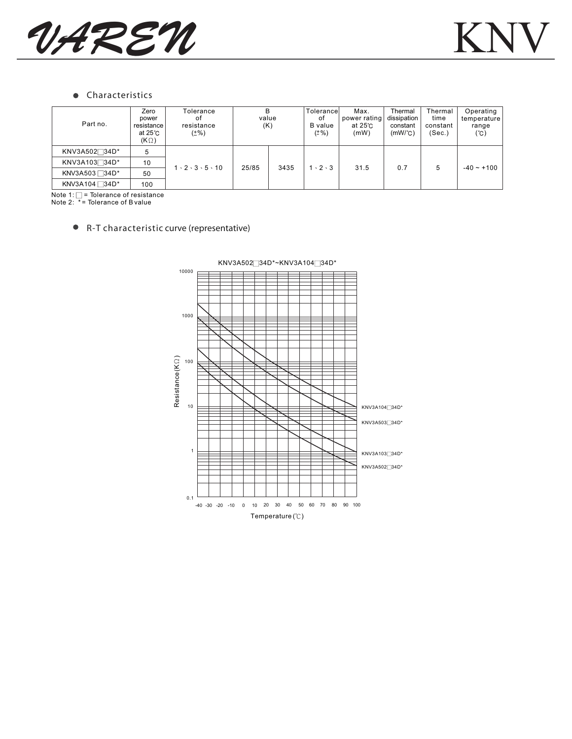

## Characteristics  $\bullet$

| Part no.                  | Zero<br>power<br>resistance<br>at 25 ℃<br>$(K \Omega)$ | Tolerance<br>0t<br>resistance<br>$(\pm\%)$ | в<br>value<br>(K) |      | Tolerancel<br>of<br>B value<br>$(\pm\%)$ | Max.<br>power rating<br>at 25°C<br>(mW) | Thermal<br>dissipation<br>constant<br>$(mW)^{\circ}C$ | Thermal<br>time<br>constant<br>(Sec.) | Operating<br>temperature<br>range<br>(°C) |
|---------------------------|--------------------------------------------------------|--------------------------------------------|-------------------|------|------------------------------------------|-----------------------------------------|-------------------------------------------------------|---------------------------------------|-------------------------------------------|
| KNV3A502 <sup>34D*</sup>  | 5                                                      | $1 \cdot 2 \cdot 3 \cdot 5 \cdot 10$       | 25/85             | 3435 | $1 \cdot 2 \cdot 3$                      | 31.5                                    | 0.7                                                   | 5                                     | $-40 - 100$                               |
| KNV3A103734D*             | 10                                                     |                                            |                   |      |                                          |                                         |                                                       |                                       |                                           |
| KNV3A503 34D <sup>*</sup> | 50                                                     |                                            |                   |      |                                          |                                         |                                                       |                                       |                                           |
| KNV3A104 $\Box$ 34D*      | 100                                                    |                                            |                   |      |                                          |                                         |                                                       |                                       |                                           |

Note 1: = Tolerance of resistance Note 2: \* = Tolerance of B value

## R-T characteristic curve (representative)